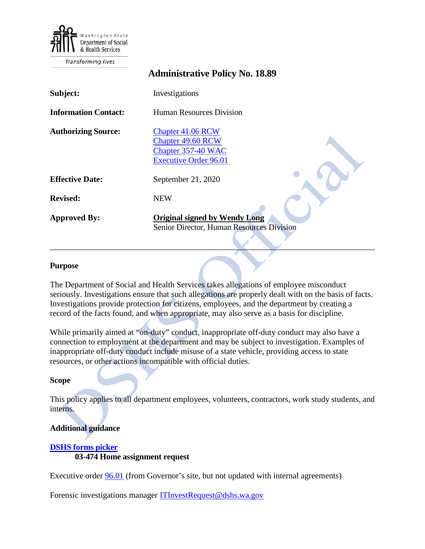

Transforming lives

|                             | <b>Administrative Policy No. 18.89</b>                                                       |
|-----------------------------|----------------------------------------------------------------------------------------------|
| Subject:                    | Investigations                                                                               |
| <b>Information Contact:</b> | <b>Human Resources Division</b>                                                              |
| <b>Authorizing Source:</b>  | Chapter 41.06 RCW<br>Chapter 49.60 RCW<br>Chapter 357-40 WAC<br><b>Executive Order 96.01</b> |
| <b>Effective Date:</b>      | September 21, 2020                                                                           |
| <b>Revised:</b>             | <b>NEW</b>                                                                                   |
| <b>Approved By:</b>         | <b>Original signed by Wendy Long</b><br>Senior Director, Human Resources Division            |

### **Purpose**

The Department of Social and Health Services takes allegations of employee misconduct seriously. Investigations ensure that such allegations are properly dealt with on the basis of facts. Investigations provide protection for citizens, employees, and the department by creating a record of the facts found, and when appropriate, may also serve as a basis for discipline.

While primarily aimed at "on-duty" conduct, inappropriate off-duty conduct may also have a connection to employment at the department and may be subject to investigation. Examples of inappropriate off-duty conduct include misuse of a state vehicle, providing access to state resources, or other actions incompatible with official duties.

### **Scope**

This policy applies to all department employees, volunteers, contractors, work study students, and interns.

## **Additional guidance**

# **[DSHS forms picker](http://forms.dshs.wa.lcl/) 03-474 Home assignment request**

Executive order **96.01** (from Governor's site, but not updated with internal agreements)

Forensic investigations manager [ITInvestRequest@dshs.wa.gov](mailto:ITInvestRequest@dshs.wa.gov)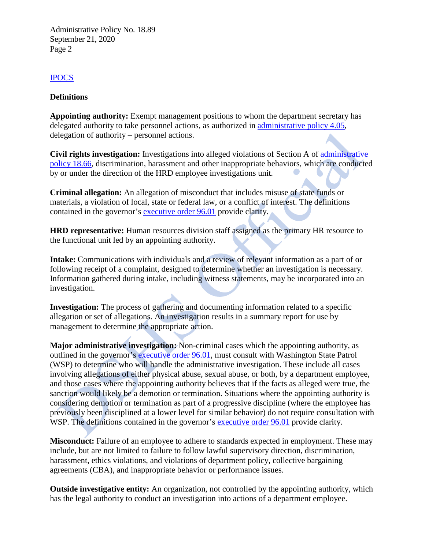# [IPOCS](http://hrd.dshs.wa.lcl/Managers/Investigations/EIMS%20Points%20of%20Contact.docx)

## **Definitions**

**Appointing authority:** Exempt management positions to whom the department secretary has delegated authority to take personnel actions, as authorized in [administrative policy 4.05,](http://one.dshs.wa.lcl/Policies/Administrative/DSHS-AP-04-05.pdf) delegation of authority – personnel actions.

**Civil rights investigation:** Investigations into alleged violations of Section A of [administrative](http://one.dshs.wa.lcl/Policies/Administrative/DSHS-AP-18-66.pdf)  [policy 18.66,](http://one.dshs.wa.lcl/Policies/Administrative/DSHS-AP-18-66.pdf) discrimination, harassment and other inappropriate behaviors, which are conducted by or under the direction of the HRD employee investigations unit*.*

**Criminal allegation:** An allegation of misconduct that includes misuse of state funds or materials, a violation of local, state or federal law, or a conflict of interest. The definitions contained in the governor's [executive order 96.01](https://www.governor.wa.gov/sites/default/files/exe_order/eo_96-01.pdf) provide clarity.

**HRD representative:** Human resources division staff assigned as the primary HR resource to the functional unit led by an appointing authority.

**Intake:** Communications with individuals and a review of relevant information as a part of or following receipt of a complaint, designed to determine whether an investigation is necessary. Information gathered during intake, including witness statements, may be incorporated into an investigation.

**Investigation:** The process of gathering and documenting information related to a specific allegation or set of allegations. An investigation results in a summary report for use by management to determine the appropriate action.

**Major administrative investigation:** Non-criminal cases which the appointing authority, as outlined in the governor's [executive order 96.01,](https://www.governor.wa.gov/sites/default/files/exe_order/eo_96-01.pdf) must consult with Washington State Patrol (WSP) to determine who will handle the administrative investigation. These include all cases involving allegations of either physical abuse, sexual abuse, or both, by a department employee, and those cases where the appointing authority believes that if the facts as alleged were true, the sanction would likely be a demotion or termination. Situations where the appointing authority is considering demotion or termination as part of a progressive discipline (where the employee has previously been disciplined at a lower level for similar behavior) do not require consultation with WSP. The definitions contained in the governor's [executive order 96.01](https://www.governor.wa.gov/sites/default/files/exe_order/eo_96-01.pdf) provide clarity.

**Misconduct:** Failure of an employee to adhere to standards expected in employment. These may include, but are not limited to failure to follow lawful supervisory direction, discrimination, harassment, ethics violations, and violations of department policy, collective bargaining agreements (CBA), and inappropriate behavior or performance issues.

**Outside investigative entity:** An organization, not controlled by the appointing authority, which has the legal authority to conduct an investigation into actions of a department employee.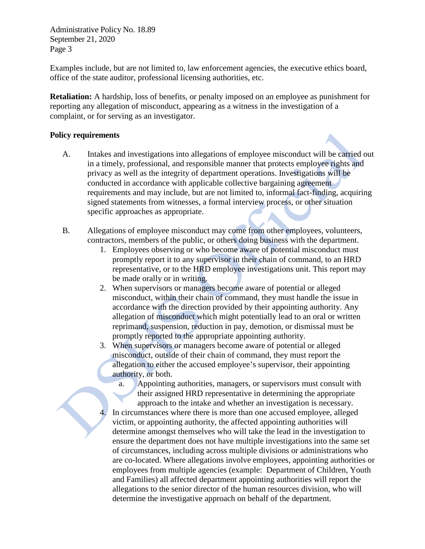Examples include, but are not limited to, law enforcement agencies, the executive ethics board, office of the state auditor, professional licensing authorities, etc.

**Retaliation:** A hardship, loss of benefits, or penalty imposed on an employee as punishment for reporting any allegation of misconduct, appearing as a witness in the investigation of a complaint, or for serving as an investigator.

## **Policy requirements**

- A. Intakes and investigations into allegations of employee misconduct will be carried out in a timely, professional, and responsible manner that protects employee rights and privacy as well as the integrity of department operations. Investigations will be conducted in accordance with applicable collective bargaining agreement requirements and may include, but are not limited to, informal fact-finding, acquiring signed statements from witnesses, a formal interview process, or other situation specific approaches as appropriate.
- B. Allegations of employee misconduct may come from other employees, volunteers, contractors, members of the public, or others doing business with the department.
	- 1. Employees observing or who become aware of potential misconduct must promptly report it to any supervisor in their chain of command, to an HRD representative, or to the HRD employee investigations unit. This report may be made orally or in writing.
	- 2. When supervisors or managers become aware of potential or alleged misconduct, within their chain of command, they must handle the issue in accordance with the direction provided by their appointing authority. Any allegation of misconduct which might potentially lead to an oral or written reprimand, suspension, reduction in pay, demotion, or dismissal must be promptly reported to the appropriate appointing authority.
	- 3. When supervisors or managers become aware of potential or alleged misconduct, outside of their chain of command, they must report the allegation to either the accused employee's supervisor, their appointing authority, or both.
		- a. Appointing authorities, managers, or supervisors must consult with their assigned HRD representative in determining the appropriate approach to the intake and whether an investigation is necessary.
	- In circumstances where there is more than one accused employee, alleged victim, or appointing authority, the affected appointing authorities will determine amongst themselves who will take the lead in the investigation to ensure the department does not have multiple investigations into the same set of circumstances, including across multiple divisions or administrations who are co-located. Where allegations involve employees, appointing authorities or employees from multiple agencies (example: Department of Children, Youth and Families) all affected department appointing authorities will report the allegations to the senior director of the human resources division, who will determine the investigative approach on behalf of the department.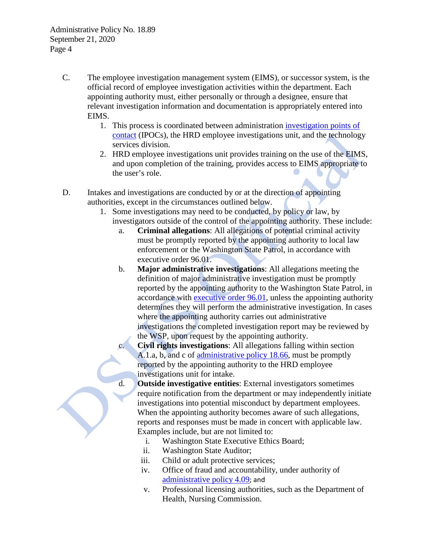- C. The employee investigation management system (EIMS), or successor system, is the official record of employee investigation activities within the department. Each appointing authority must, either personally or through a designee, ensure that relevant investigation information and documentation is appropriately entered into EIMS.
	- 1. This process is coordinated between administration [investigation points](http://hrd.dshs.wa.lcl/Managers/Investigations/EIMS%20Points%20of%20Contact.docx) of [contact](http://hrd.dshs.wa.lcl/Managers/Investigations/EIMS%20Points%20of%20Contact.docx) (IPOCs), the HRD employee investigations unit, and the technology services division.
	- 2. HRD employee investigations unit provides training on the use of the EIMS, and upon completion of the training, provides access to EIMS appropriate to the user's role.
- D. Intakes and investigations are conducted by or at the direction of appointing authorities, except in the circumstances outlined below.
	- 1. Some investigations may need to be conducted, by policy or law, by investigators outside of the control of the appointing authority. These include:
		- a. **Criminal allegations**: All allegations of potential criminal activity must be promptly reported by the appointing authority to local law enforcement or the Washington State Patrol, in accordance with executive order 96.01.
		- b. **Major administrative investigations**: All allegations meeting the definition of major administrative investigation must be promptly reported by the appointing authority to the Washington State Patrol, in accordance with [executive order 96.01,](https://www.governor.wa.gov/sites/default/files/exe_order/eo_96-01.pdf) unless the appointing authority determines they will perform the administrative investigation. In cases where the appointing authority carries out administrative investigations the completed investigation report may be reviewed by the WSP, upon request by the appointing authority.
		- c. **Civil rights investigations**: All allegations falling within section A.1.a, b, and c of [administrative policy 18.66,](http://one.dshs.wa.lcl/Policies/Administrative/DSHS-AP-18-66.pdf) must be promptly reported by the appointing authority to the HRD employee investigations unit for intake.
		- d. **Outside investigative entities**: External investigators sometimes require notification from the department or may independently initiate investigations into potential misconduct by department employees. When the appointing authority becomes aware of such allegations, reports and responses must be made in concert with applicable law. Examples include, but are not limited to:
			- i. Washington State Executive Ethics Board;
			- ii. Washington State Auditor;
			- iii. Child or adult protective services;
			- iv. Office of fraud and accountability, under authority of [administrative policy 4.09](http://one.dshs.wa.lcl/Policies/Administrative/DSHS-AP-04-09.pdf); and
			- v. Professional licensing authorities, such as the Department of Health, Nursing Commission.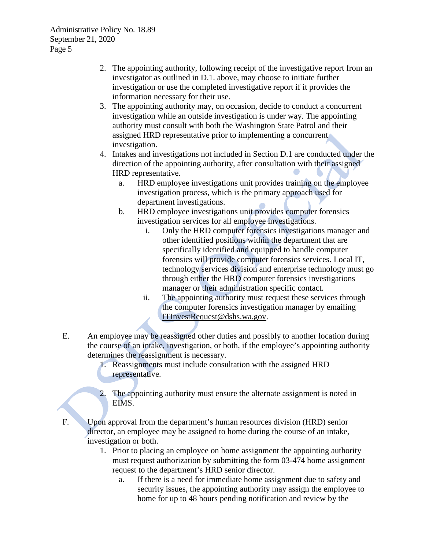- 2. The appointing authority, following receipt of the investigative report from an investigator as outlined in D.1. above, may choose to initiate further investigation or use the completed investigative report if it provides the information necessary for their use.
- 3. The appointing authority may, on occasion, decide to conduct a concurrent investigation while an outside investigation is under way. The appointing authority must consult with both the Washington State Patrol and their assigned HRD representative prior to implementing a concurrent investigation.
- 4. Intakes and investigations not included in Section D.1 are conducted under the direction of the appointing authority, after consultation with their assigned HRD representative.
	- a. HRD employee investigations unit provides training on the employee investigation process, which is the primary approach used for department investigations.
	- b. HRD employee investigations unit provides computer forensics investigation services for all employee investigations.
		- i. Only the HRD computer forensics investigations manager and other identified positions within the department that are specifically identified and equipped to handle computer forensics will provide computer forensics services. Local IT, technology services division and enterprise technology must go through either the HRD computer forensics investigations manager or their administration specific contact.
		- ii. The appointing authority must request these services through the computer forensics investigation manager by emailing [ITInvestRequest@dshs.wa.gov.](mailto:ITInvestRequest@dshs.wa.gov)
- E. An employee may be reassigned other duties and possibly to another location during the course of an intake, investigation, or both, if the employee's appointing authority determines the reassignment is necessary.
	- 1. Reassignments must include consultation with the assigned HRD representative.
	- 2. The appointing authority must ensure the alternate assignment is noted in EIMS.

F. Upon approval from the department's human resources division (HRD) senior director, an employee may be assigned to home during the course of an intake, investigation or both.

- 1. Prior to placing an employee on home assignment the appointing authority must request authorization by submitting the form 03-474 home assignment request to the department's HRD senior director.
	- a. If there is a need for immediate home assignment due to safety and security issues, the appointing authority may assign the employee to home for up to 48 hours pending notification and review by the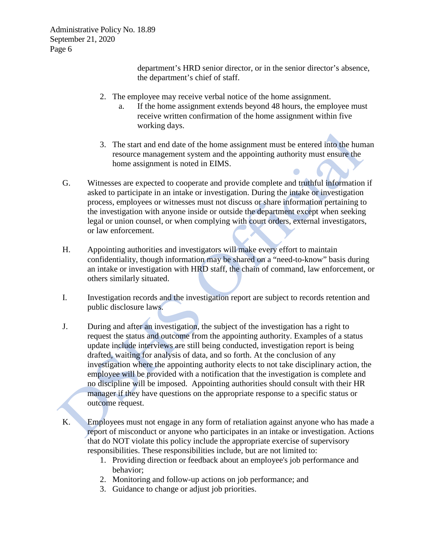> department's HRD senior director, or in the senior director's absence, the department's chief of staff.

- 2. The employee may receive verbal notice of the home assignment.
	- a. If the home assignment extends beyond 48 hours, the employee must receive written confirmation of the home assignment within five working days.
- 3. The start and end date of the home assignment must be entered into the human resource management system and the appointing authority must ensure the home assignment is noted in EIMS.
- G. Witnesses are expected to cooperate and provide complete and truthful information if asked to participate in an intake or investigation. During the intake or investigation process, employees or witnesses must not discuss or share information pertaining to the investigation with anyone inside or outside the department except when seeking legal or union counsel, or when complying with court orders, external investigators, or law enforcement.
- H. Appointing authorities and investigators will make every effort to maintain confidentiality, though information may be shared on a "need-to-know" basis during an intake or investigation with HRD staff, the chain of command, law enforcement, or others similarly situated.
- I. Investigation records and the investigation report are subject to records retention and public disclosure laws.
- J. During and after an investigation, the subject of the investigation has a right to request the status and outcome from the appointing authority. Examples of a status update include interviews are still being conducted, investigation report is being drafted, waiting for analysis of data, and so forth. At the conclusion of any investigation where the appointing authority elects to not take disciplinary action, the employee will be provided with a notification that the investigation is complete and no discipline will be imposed. Appointing authorities should consult with their HR manager if they have questions on the appropriate response to a specific status or outcome request.
- K. Employees must not engage in any form of retaliation against anyone who has made a report of misconduct or anyone who participates in an intake or investigation. Actions that do NOT violate this policy include the appropriate exercise of supervisory responsibilities. These responsibilities include, but are not limited to:
	- 1. Providing direction or feedback about an employee's job performance and behavior;
	- 2. Monitoring and follow-up actions on job performance; and
	- 3. Guidance to change or adjust job priorities.